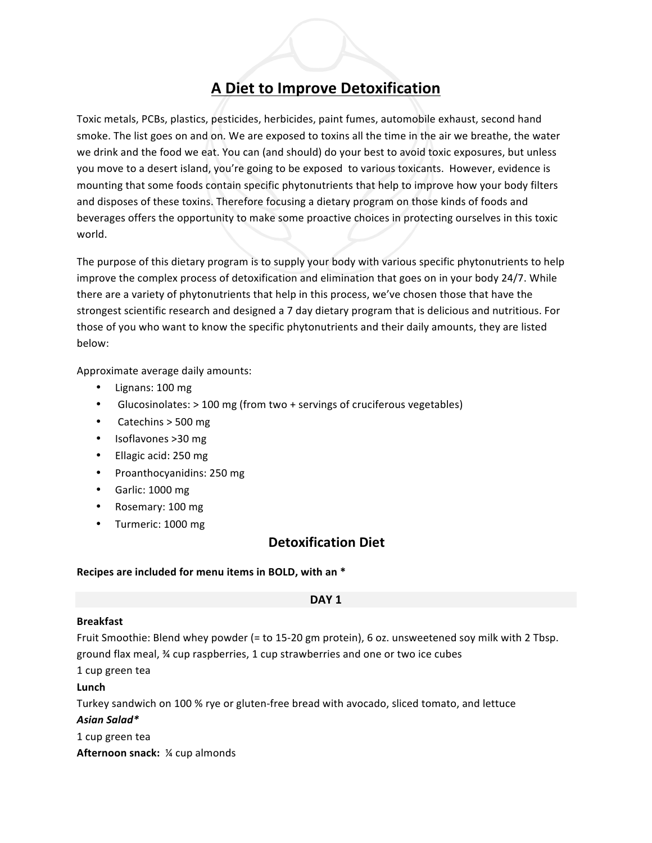# **A Diet to Improve Detoxification**

Toxic metals, PCBs, plastics, pesticides, herbicides, paint fumes, automobile exhaust, second hand smoke. The list goes on and on. We are exposed to toxins all the time in the air we breathe, the water we drink and the food we eat. You can (and should) do your best to avoid toxic exposures, but unless you move to a desert island, you're going to be exposed to various toxicants. However, evidence is mounting that some foods contain specific phytonutrients that help to improve how your body filters and disposes of these toxins. Therefore focusing a dietary program on those kinds of foods and beverages offers the opportunity to make some proactive choices in protecting ourselves in this toxic world.

The purpose of this dietary program is to supply your body with various specific phytonutrients to help improve the complex process of detoxification and elimination that goes on in your body 24/7. While there are a variety of phytonutrients that help in this process, we've chosen those that have the strongest scientific research and designed a 7 day dietary program that is delicious and nutritious. For those of you who want to know the specific phytonutrients and their daily amounts, they are listed below:

Approximate average daily amounts:

- Lignans: 100 mg
- Glucosinolates:  $>$  100 mg (from two + servings of cruciferous vegetables)
- Catechins  $>$  500 mg
- Isoflavones >30 mg
- Ellagic acid: 250 mg
- Proanthocyanidins: 250 mg
- Garlic: 1000 mg
- Rosemary: 100 mg
- Turmeric: 1000 mg

# **Detoxification Diet**

#### Recipes are included for menu items in BOLD, with an \*

#### **DAY 1**

#### **Breakfast**

Fruit Smoothie: Blend whey powder (= to 15-20 gm protein), 6 oz. unsweetened soy milk with 2 Tbsp. ground flax meal,  $%$  cup raspberries, 1 cup strawberries and one or two ice cubes

1 cup green tea

#### **Lunch**

Turkey sandwich on 100 % rye or gluten-free bread with avocado, sliced tomato, and lettuce *Asian&Salad\**

1 cup green tea

**Afternoon snack:** % cup almonds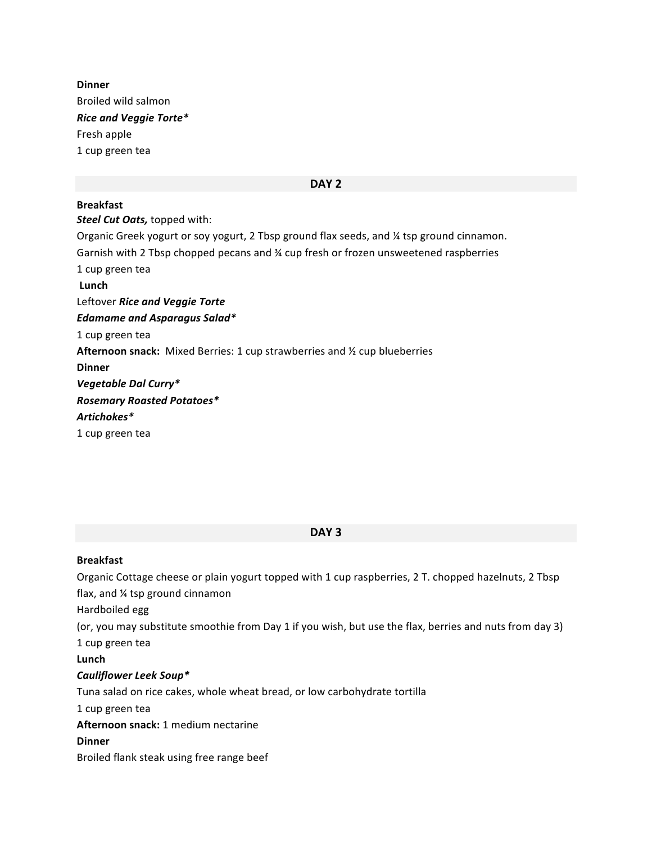**Dinner** Broiled wild salmon *Rice&and&Veggie&Torte\** Fresh apple 1 cup green tea

#### **DAY 2**

**Breakfast Steel Cut Oats, topped with:** Organic Greek yogurt or soy yogurt, 2 Tbsp ground flax seeds, and ¼ tsp ground cinnamon. Garnish with 2 Tbsp chopped pecans and  $%$  cup fresh or frozen unsweetened raspberries 1 cup green tea **Lunch** Leftover Rice and Veggie Torte *Edamame&and&Asparagus Salad\** 1 cup green tea Afternoon snack: Mixed Berries: 1 cup strawberries and ½ cup blueberries **Dinner** *Vegetable&Dal&Curry\*& Rosemary&Roasted&Potatoes\* Artichokes\** 1 cup green tea

#### **DAY 3**

#### **Breakfast**

Organic Cottage cheese or plain yogurt topped with 1 cup raspberries, 2 T. chopped hazelnuts, 2 Tbsp flax, and  $\frac{1}{4}$  tsp ground cinnamon Hardboiled egg (or, you may substitute smoothie from Day 1 if you wish, but use the flax, berries and nuts from day 3) 1 cup green tea **Lunch" Cauliflower Leek Soup\*** Tuna salad on rice cakes, whole wheat bread, or low carbohydrate tortilla 1 cup green tea Afternoon snack: 1 medium nectarine **Dinner"** Broiled flank steak using free range beef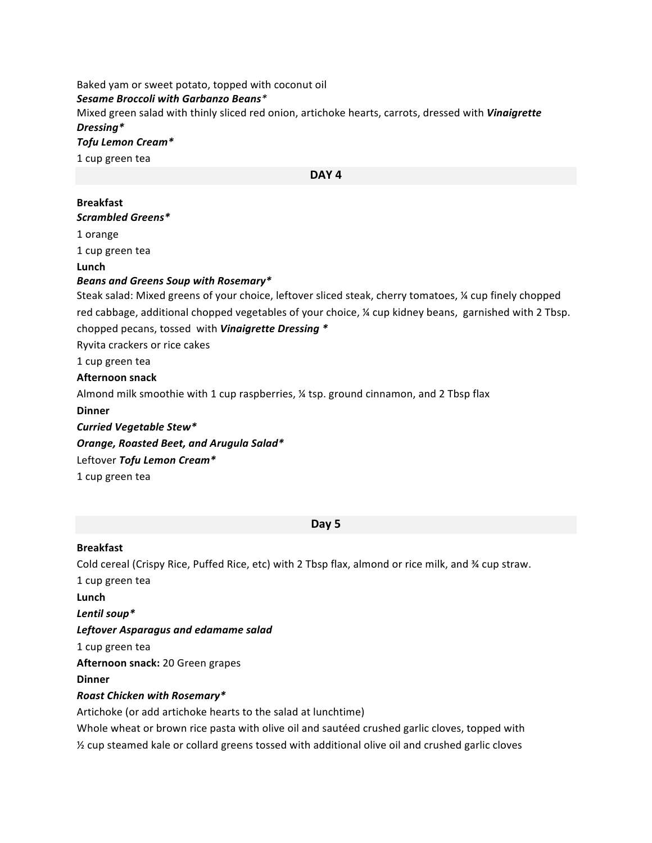# Baked yam or sweet potato, topped with coconut oil

*Sesame Broccoli&with&Garbanzo&Beans\**

Mixed green salad with thinly sliced red onion, artichoke hearts, carrots, dressed with *Vinaigrette Dressing\**

#### *Tofu&Lemon&Cream\**

1 cup green tea

#### **DAY 4**

# **Breakfast**

*Scrambled&Greens\**

1 orange

1 cup green tea

**Lunch**

### *Beans&and&Greens&Soup&with&Rosemary\**

Steak salad: Mixed greens of your choice, leftover sliced steak, cherry tomatoes, % cup finely chopped red cabbage, additional chopped vegetables of your choice, ¼ cup kidney beans, garnished with 2 Tbsp. chopped pecans, tossed with **Vinaigrette Dressing** \*

Ryvita crackers or rice cakes

1 cup green tea

### **Afternoon"snack**

Almond milk smoothie with 1 cup raspberries,  $\frac{1}{4}$  tsp. ground cinnamon, and 2 Tbsp flax

**Dinner**

*Curried&Vegetable&Stew\**

**Orange, Roasted Beet, and Arugula Salad\*** 

Leftover Tofu Lemon Cream\*

1 cup green tea

#### **Day"5**

#### **Breakfast**

Cold cereal (Crispy Rice, Puffed Rice, etc) with 2 Tbsp flax, almond or rice milk, and ¾ cup straw. 1 cup green tea Lunch Lentil soup\* **Leftover Asparagus and edamame salad** 1 cup green tea Afternoon snack: 20 Green grapes **Dinner** *Roast Chicken&with&Rosemary\** Artichoke (or add artichoke hearts to the salad at lunchtime)

Whole wheat or brown rice pasta with olive oil and sautéed crushed garlic cloves, topped with  $\frac{1}{2}$  cup steamed kale or collard greens tossed with additional olive oil and crushed garlic cloves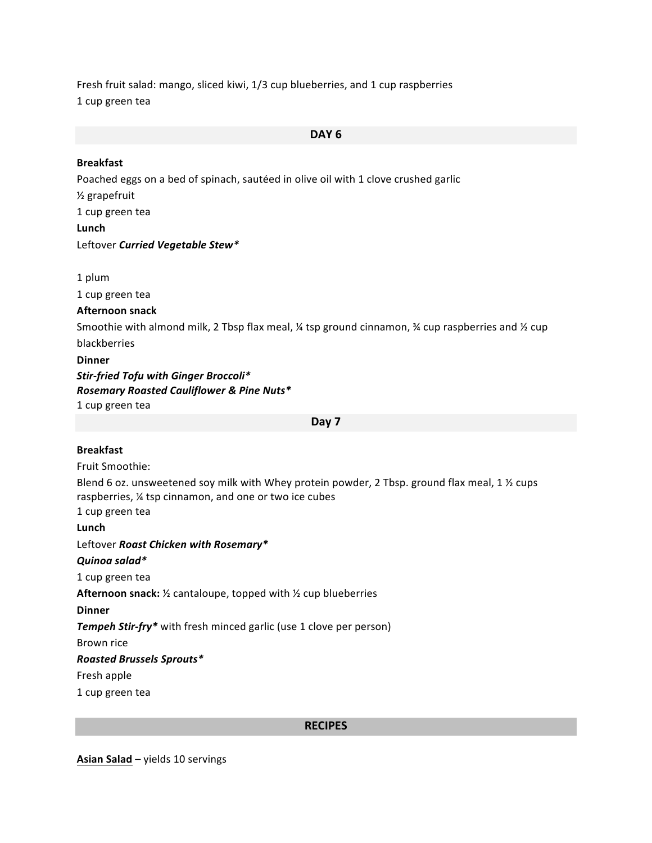Fresh fruit salad: mango, sliced kiwi, 1/3 cup blueberries, and 1 cup raspberries 1 cup green tea

# **DAY 6**

| <b>Breakfast</b>                                                                                                                                                              |
|-------------------------------------------------------------------------------------------------------------------------------------------------------------------------------|
| Poached eggs on a bed of spinach, sautéed in olive oil with 1 clove crushed garlic                                                                                            |
| 1/ <sub>2</sub> grapefruit                                                                                                                                                    |
| 1 cup green tea                                                                                                                                                               |
| Lunch                                                                                                                                                                         |
| Leftover Curried Vegetable Stew*                                                                                                                                              |
| 1 plum                                                                                                                                                                        |
| 1 cup green tea                                                                                                                                                               |
| <b>Afternoon snack</b>                                                                                                                                                        |
| Smoothie with almond milk, 2 Tbsp flax meal, $\frac{1}{4}$ tsp ground cinnamon, $\frac{1}{4}$ cup raspberries and $\frac{1}{2}$ cup                                           |
| blackberries                                                                                                                                                                  |
| <b>Dinner</b>                                                                                                                                                                 |
| Stir-fried Tofu with Ginger Broccoli*<br>Rosemary Roasted Cauliflower & Pine Nuts*<br>1 cup green tea                                                                         |
| Day 7                                                                                                                                                                         |
|                                                                                                                                                                               |
| <b>Breakfast</b>                                                                                                                                                              |
| Fruit Smoothie:                                                                                                                                                               |
| Blend 6 oz. unsweetened soy milk with Whey protein powder, 2 Tbsp. ground flax meal, 1 1/2 cups<br>raspberries, 1⁄4 tsp cinnamon, and one or two ice cubes<br>1 cup green tea |
| Lunch                                                                                                                                                                         |
| Leftover Roast Chicken with Rosemary*                                                                                                                                         |
| Quinoa salad*                                                                                                                                                                 |
| 1 cup green tea                                                                                                                                                               |
| Afternoon snack: 1/2 cantaloupe, topped with 1/2 cup blueberries                                                                                                              |
| <b>Dinner</b>                                                                                                                                                                 |
| Tempeh Stir-fry* with fresh minced garlic (use 1 clove per person)                                                                                                            |
| Brown rice                                                                                                                                                                    |
| <b>Roasted Brussels Sprouts*</b>                                                                                                                                              |
| Fresh apple                                                                                                                                                                   |
| 1 cup green tea                                                                                                                                                               |

## **RECIPES**

Asian Salad – yields 10 servings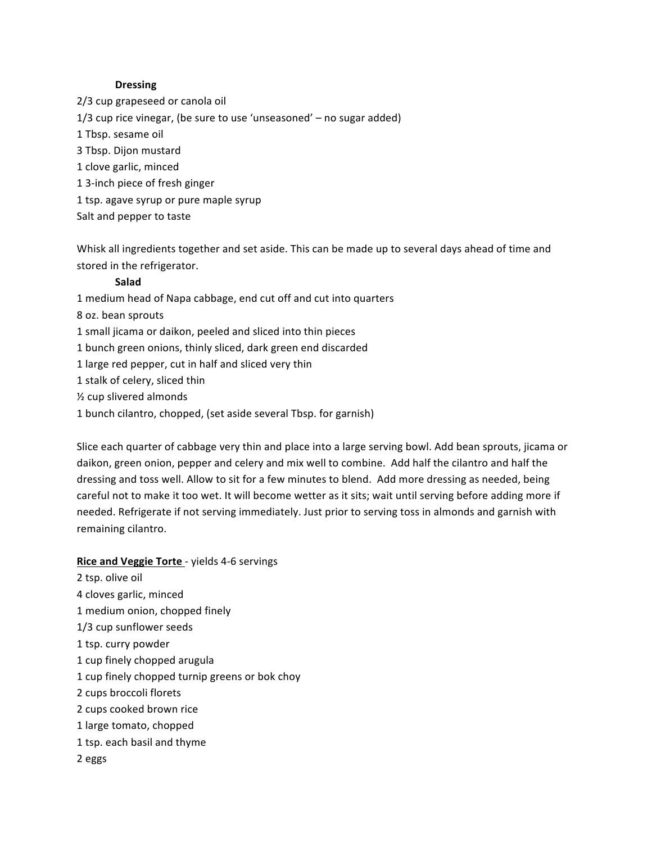#### **Dressing**

2/3 cup grapeseed or canola oil 1/3 cup rice vinegar, (be sure to use 'unseasoned'  $-$  no sugar added) 1 Tbsp. sesame oil 3 Tbsp. Dijon mustard 1 clove garlic, minced 1 3-inch piece of fresh ginger 1 tsp. agave syrup or pure maple syrup Salt and pepper to taste

Whisk all ingredients together and set aside. This can be made up to several days ahead of time and stored in the refrigerator.

#### **Salad**

1 medium head of Napa cabbage, end cut off and cut into quarters 8 oz. bean sprouts 1 small jicama or daikon, peeled and sliced into thin pieces 1 bunch green onions, thinly sliced, dark green end discarded 1 large red pepper, cut in half and sliced very thin 1 stalk of celery, sliced thin  $\frac{1}{2}$  cup slivered almonds 1 bunch cilantro, chopped, (set aside several Tbsp. for garnish)

Slice each quarter of cabbage very thin and place into a large serving bowl. Add bean sprouts, jicama or daikon, green onion, pepper and celery and mix well to combine. Add half the cilantro and half the dressing and toss well. Allow to sit for a few minutes to blend. Add more dressing as needed, being careful not to make it too wet. It will become wetter as it sits; wait until serving before adding more if needed. Refrigerate if not serving immediately. Just prior to serving toss in almonds and garnish with remaining cilantro.

#### Rice and Veggie Torte - yields 4-6 servings

2 tsp. olive oil 4 cloves garlic, minced 1 medium onion, chopped finely 1/3 cup sunflower seeds 1 tsp. curry powder 1 cup finely chopped arugula 1 cup finely chopped turnip greens or bok choy 2 cups broccoli florets 2 cups cooked brown rice 1 large tomato, chopped 1 tsp. each basil and thyme 2&eggs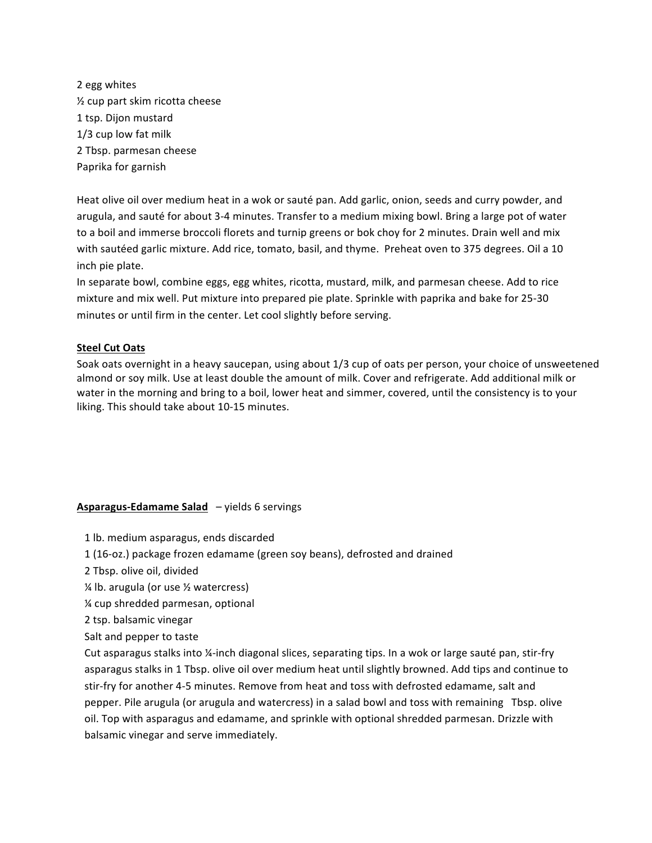2 egg whites  $\frac{1}{2}$  cup part skim ricotta cheese 1 tsp. Dijon mustard  $1/3$  cup low fat milk 2 Tbsp. parmesan cheese Paprika for garnish

Heat olive oil over medium heat in a wok or sauté pan. Add garlic, onion, seeds and curry powder, and arugula, and sauté for about 3-4 minutes. Transfer to a medium mixing bowl. Bring a large pot of water to a boil and immerse broccoli florets and turnip greens or bok choy for 2 minutes. Drain well and mix with sautéed garlic mixture. Add rice, tomato, basil, and thyme. Preheat oven to 375 degrees. Oil a 10 inch pie plate.

In separate bowl, combine eggs, egg whites, ricotta, mustard, milk, and parmesan cheese. Add to rice mixture and mix well. Put mixture into prepared pie plate. Sprinkle with paprika and bake for 25-30 minutes or until firm in the center. Let cool slightly before serving.

#### **Steel Cut Oats**

Soak oats overnight in a heavy saucepan, using about 1/3 cup of oats per person, your choice of unsweetened almond or soy milk. Use at least double the amount of milk. Cover and refrigerate. Add additional milk or water in the morning and bring to a boil, lower heat and simmer, covered, until the consistency is to your liking. This should take about 10-15 minutes.

#### **Asparagus-Edamame Salad** – yields 6 servings

- 1 lb. medium asparagus, ends discarded
- 1 (16-oz.) package frozen edamame (green soy beans), defrosted and drained
- 2 Tbsp. olive oil, divided
- $\frac{1}{4}$  lb. arugula (or use  $\frac{1}{2}$  watercress)
- % cup shredded parmesan, optional
- 2 tsp. balsamic vinegar
- Salt and pepper to taste

Cut asparagus stalks into ¼-inch diagonal slices, separating tips. In a wok or large sauté pan, stir-fry asparagus stalks in 1 Tbsp. olive oil over medium heat until slightly browned. Add tips and continue to stir-fry for another 4-5 minutes. Remove from heat and toss with defrosted edamame, salt and pepper. Pile arugula (or arugula and watercress) in a salad bowl and toss with remaining Tbsp. olive oil. Top with asparagus and edamame, and sprinkle with optional shredded parmesan. Drizzle with balsamic vinegar and serve immediately.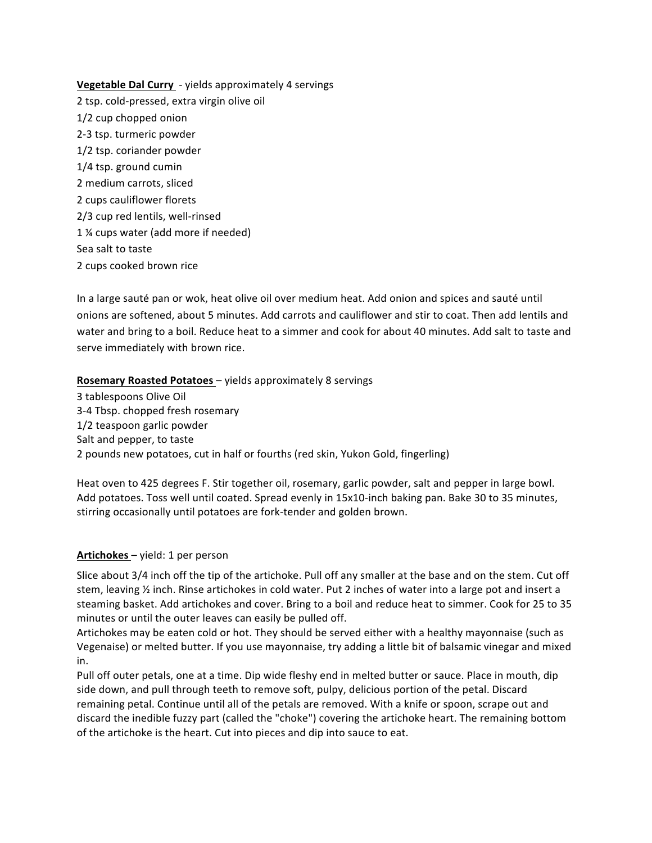**<u>Vegetable Dal Curry</u>** - yields approximately 4 servings 2 tsp. cold-pressed, extra virgin olive oil 1/2 cup chopped onion 2-3 tsp. turmeric powder 1/2 tsp. coriander powder  $1/4$  tsp. ground cumin 2 medium carrots, sliced 2 cups cauliflower florets 2/3 cup red lentils, well-rinsed 1 % cups water (add more if needed) Sea salt to taste 2 cups cooked brown rice

In a large sauté pan or wok, heat olive oil over medium heat. Add onion and spices and sauté until onions are softened, about 5 minutes. Add carrots and cauliflower and stir to coat. Then add lentils and water and bring to a boil. Reduce heat to a simmer and cook for about 40 minutes. Add salt to taste and serve immediately with brown rice.

#### Rosemary Roasted Potatoes - yields approximately 8 servings

3 tablespoons Olive Oil 3-4 Tbsp. chopped fresh rosemary 1/2 teaspoon garlic powder Salt and pepper, to taste 2 pounds new potatoes, cut in half or fourths (red skin, Yukon Gold, fingerling)

Heat oven to 425 degrees F. Stir together oil, rosemary, garlic powder, salt and pepper in large bowl. Add potatoes. Toss well until coated. Spread evenly in 15x10-inch baking pan. Bake 30 to 35 minutes, stirring occasionally until potatoes are fork-tender and golden brown.

#### Artichokes - yield: 1 per person

Slice about 3/4 inch off the tip of the artichoke. Pull off any smaller at the base and on the stem. Cut off stem, leaving  $\frac{1}{2}$  inch. Rinse artichokes in cold water. Put 2 inches of water into a large pot and insert a steaming basket. Add artichokes and cover. Bring to a boil and reduce heat to simmer. Cook for 25 to 35 minutes or until the outer leaves can easily be pulled off.

Artichokes may be eaten cold or hot. They should be served either with a healthy mayonnaise (such as Vegenaise) or melted butter. If you use mayonnaise, try adding a little bit of balsamic vinegar and mixed in.

Pull off outer petals, one at a time. Dip wide fleshy end in melted butter or sauce. Place in mouth, dip side down, and pull through teeth to remove soft, pulpy, delicious portion of the petal. Discard remaining petal. Continue until all of the petals are removed. With a knife or spoon, scrape out and discard the inedible fuzzy part (called the "choke") covering the artichoke heart. The remaining bottom of the artichoke is the heart. Cut into pieces and dip into sauce to eat.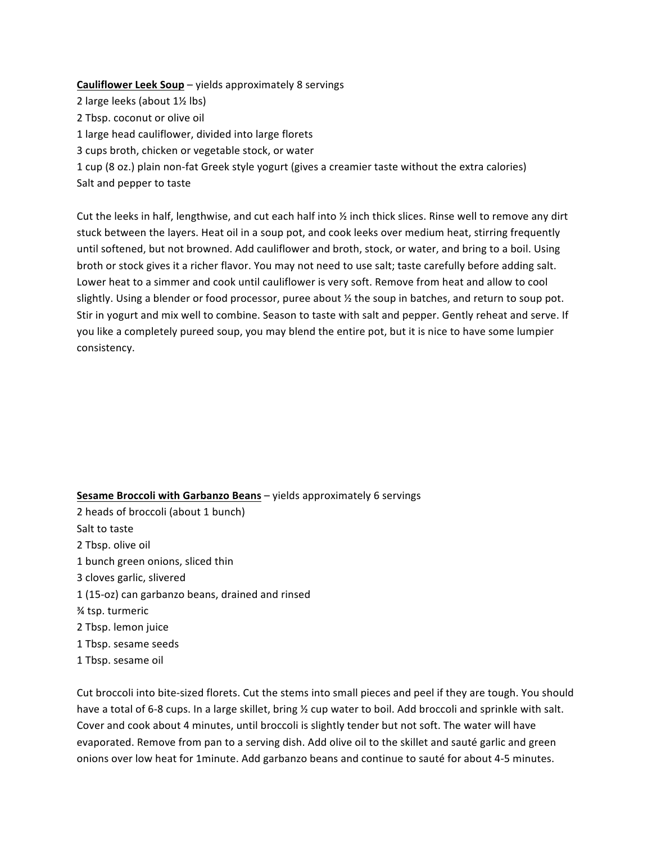#### **Cauliflower Leek Soup** – yields approximately 8 servings

- 2 large leeks (about  $1\frac{1}{2}$  lbs)
- 2 Tbsp. coconut or olive oil
- 1 large head cauliflower, divided into large florets
- 3 cups broth, chicken or vegetable stock, or water

1 cup (8 oz.) plain non-fat Greek style yogurt (gives a creamier taste without the extra calories) Salt and pepper to taste

Cut the leeks in half, lengthwise, and cut each half into  $\frac{1}{2}$  inch thick slices. Rinse well to remove any dirt stuck between the layers. Heat oil in a soup pot, and cook leeks over medium heat, stirring frequently until softened, but not browned. Add cauliflower and broth, stock, or water, and bring to a boil. Using broth or stock gives it a richer flavor. You may not need to use salt; taste carefully before adding salt. Lower heat to a simmer and cook until cauliflower is very soft. Remove from heat and allow to cool slightly. Using a blender or food processor, puree about % the soup in batches, and return to soup pot. Stir in yogurt and mix well to combine. Season to taste with salt and pepper. Gently reheat and serve. If you like a completely pureed soup, you may blend the entire pot, but it is nice to have some lumpier consistency.

#### **Sesame Broccoli with Garbanzo Beans** – yields approximately 6 servings

2 heads of broccoli (about 1 bunch) Salt to taste 2 Tbsp. olive oil 1 bunch green onions, sliced thin 3 cloves garlic, slivered 1 (15-oz) can garbanzo beans, drained and rinsed % tsp. turmeric 2 Tbsp. lemon juice 1 Tbsp. sesame seeds 1 Tbsp. sesame oil

Cut broccoli into bite-sized florets. Cut the stems into small pieces and peel if they are tough. You should have a total of 6-8 cups. In a large skillet, bring % cup water to boil. Add broccoli and sprinkle with salt. Cover and cook about 4 minutes, until broccoli is slightly tender but not soft. The water will have evaporated. Remove from pan to a serving dish. Add olive oil to the skillet and sauté garlic and green onions over low heat for 1minute. Add garbanzo beans and continue to sauté for about 4-5 minutes.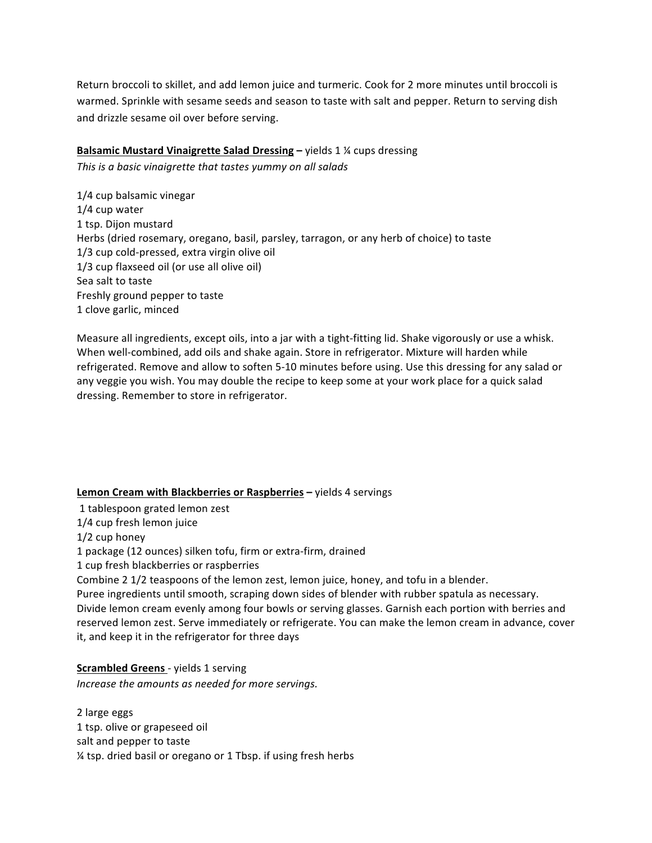Return broccoli to skillet, and add lemon juice and turmeric. Cook for 2 more minutes until broccoli is warmed. Sprinkle with sesame seeds and season to taste with salt and pepper. Return to serving dish and drizzle sesame oil over before serving.

### **Balsamic Mustard Vinaigrette Salad Dressing – yields 1 % cups dressing**

This is a basic vinaigrette that tastes yummy on all salads

1/4 cup balsamic vinegar  $1/4$  cup water 1 tsp. Dijon mustard Herbs (dried rosemary, oregano, basil, parsley, tarragon, or any herb of choice) to taste 1/3 cup cold-pressed, extra virgin olive oil  $1/3$  cup flaxseed oil (or use all olive oil) Sea salt to taste Freshly ground pepper to taste 1 clove garlic, minced

Measure all ingredients, except oils, into a jar with a tight-fitting lid. Shake vigorously or use a whisk. When well-combined, add oils and shake again. Store in refrigerator. Mixture will harden while refrigerated. Remove and allow to soften 5-10 minutes before using. Use this dressing for any salad or any veggie you wish. You may double the recipe to keep some at your work place for a quick salad dressing. Remember to store in refrigerator.

#### **Lemon Cream with Blackberries or Raspberries – yields 4 servings**

1 tablespoon grated lemon zest

1/4 cup fresh lemon juice

 $1/2$  cup honey

1 package (12 ounces) silken tofu, firm or extra-firm, drained

1 cup fresh blackberries or raspberries

Combine 2 1/2 teaspoons of the lemon zest, lemon juice, honey, and tofu in a blender.

Puree ingredients until smooth, scraping down sides of blender with rubber spatula as necessary. Divide lemon cream evenly among four bowls or serving glasses. Garnish each portion with berries and reserved lemon zest. Serve immediately or refrigerate. You can make the lemon cream in advance, cover it, and keep it in the refrigerator for three days

## **Scrambled Greens** - yields 1 serving

Increase the amounts as needed for more servings.

2 large eggs 1 tsp. olive or grapeseed oil salt and pepper to taste % tsp. dried basil or oregano or 1 Tbsp. if using fresh herbs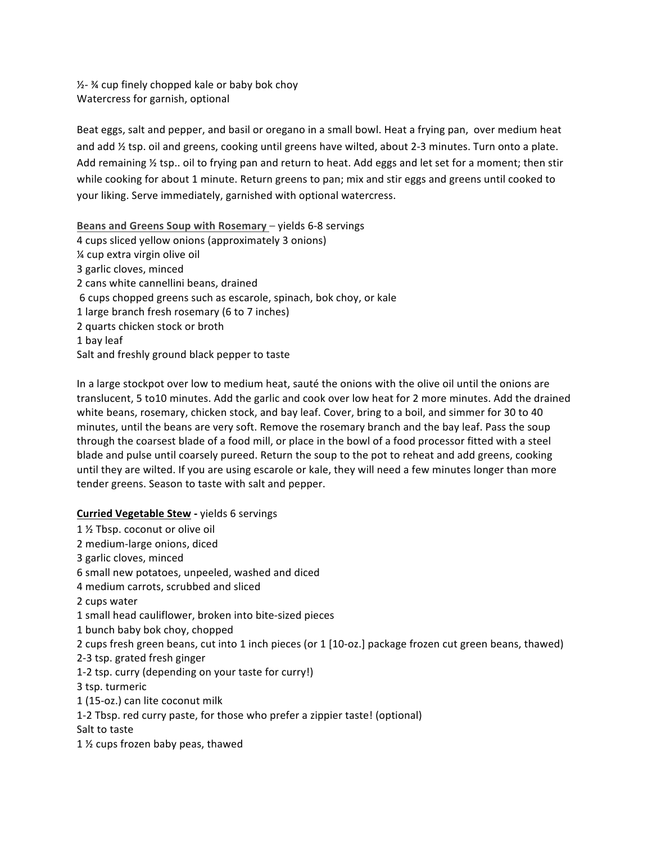$\frac{1}{2}$  % cup finely chopped kale or baby bok choy Watercress for garnish, optional

Beat eggs, salt and pepper, and basil or oregano in a small bowl. Heat a frying pan, over medium heat and add % tsp. oil and greens, cooking until greens have wilted, about 2-3 minutes. Turn onto a plate. Add remaining  $\frac{1}{2}$  tsp.. oil to frying pan and return to heat. Add eggs and let set for a moment; then stir while cooking for about 1 minute. Return greens to pan; mix and stir eggs and greens until cooked to your liking. Serve immediately, garnished with optional watercress.

Beans and Greens Soup with Rosemary – yields 6-8 servings 4 cups sliced yellow onions (approximately 3 onions)  $%$  cup extra virgin olive oil 3 garlic cloves, minced 2 cans white cannellini beans, drained 6 cups chopped greens such as escarole, spinach, bok choy, or kale 1 large branch fresh rosemary (6 to 7 inches) 2 quarts chicken stock or broth 1 bay leaf Salt and freshly ground black pepper to taste

In a large stockpot over low to medium heat, sauté the onions with the olive oil until the onions are translucent, 5 to10 minutes. Add the garlic and cook over low heat for 2 more minutes. Add the drained white beans, rosemary, chicken stock, and bay leaf. Cover, bring to a boil, and simmer for 30 to 40 minutes, until the beans are very soft. Remove the rosemary branch and the bay leaf. Pass the soup through the coarsest blade of a food mill, or place in the bowl of a food processor fitted with a steel blade and pulse until coarsely pureed. Return the soup to the pot to reheat and add greens, cooking until they are wilted. If you are using escarole or kale, they will need a few minutes longer than more tender greens. Season to taste with salt and pepper.

#### **Curried Vegetable Stew - yields 6 servings**

1 % Tbsp. coconut or olive oil 2 medium-large onions, diced 3 garlic cloves, minced 6 small new potatoes, unpeeled, washed and diced 4 medium carrots, scrubbed and sliced 2 cups water 1 small head cauliflower, broken into bite-sized pieces 1 bunch baby bok choy, chopped 2 cups fresh green beans, cut into 1 inch pieces (or 1 [10-oz.] package frozen cut green beans, thawed) 2-3 tsp. grated fresh ginger 1-2 tsp. curry (depending on your taste for curry!) 3 tsp. turmeric 1 (15-oz.) can lite coconut milk 1-2 Tbsp. red curry paste, for those who prefer a zippier taste! (optional) Salt to taste 1 $\frac{1}{2}$  cups frozen baby peas, thawed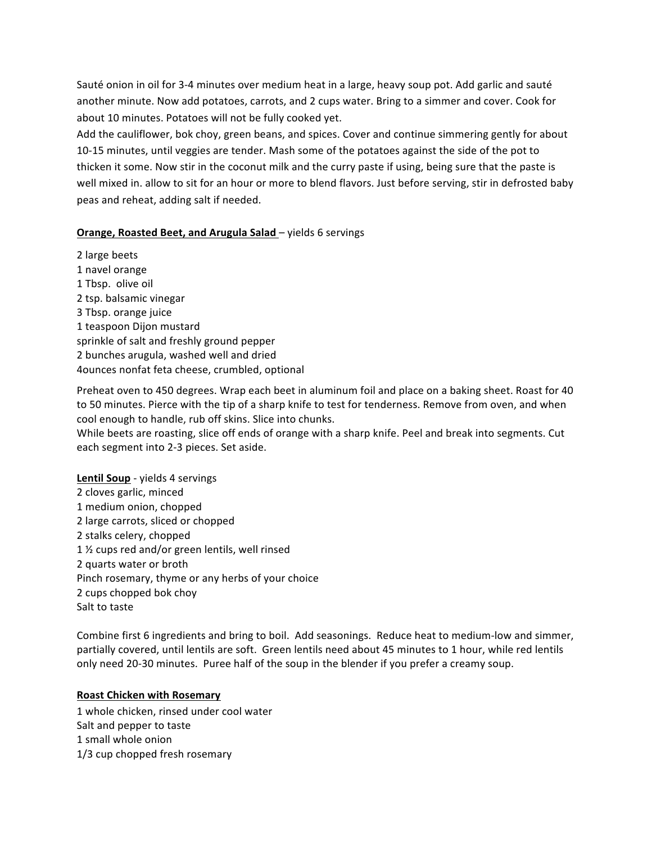Sauté onion in oil for 3-4 minutes over medium heat in a large, heavy soup pot. Add garlic and sauté another minute. Now add potatoes, carrots, and 2 cups water. Bring to a simmer and cover. Cook for about 10 minutes. Potatoes will not be fully cooked yet.

Add the cauliflower, bok choy, green beans, and spices. Cover and continue simmering gently for about 10-15 minutes, until veggies are tender. Mash some of the potatoes against the side of the pot to thicken it some. Now stir in the coconut milk and the curry paste if using, being sure that the paste is well mixed in. allow to sit for an hour or more to blend flavors. Just before serving, stir in defrosted baby peas and reheat, adding salt if needed.

#### **Orange, Roasted Beet, and Arugula Salad** – yields 6 servings

 $2$  large beets  $\overline{\phantom{a}}$ 1&navel&orange&&&&&&&&&&&&&&&&&&&&&&&&&&&&&&&&&&&&&&&&&&&&&&&&&&&&&&&&&&&&&&&&&&&&&&&&&&&&&&&&&&&&&&&&&&&&&&&&&&&&&&&&&&&&&&&&&&&&&&&&&&&&&&&&&&&&&&&&&&&&&&&&&&&&&&&&&&&&&&&&&&&&&&&&&&&&&&&&&&&&&&&&&&&&&&&&&&&&&&&&&& 1 Tbsp. olive oil 2 tsp. balsamic vinegar 3 Tbsp. orange juice 1 teaspoon Dijon mustard sprinkle of salt and freshly ground pepper 2 bunches arugula, washed well and dried 4ounces nonfat feta cheese, crumbled, optional

Preheat oven to 450 degrees. Wrap each beet in aluminum foil and place on a baking sheet. Roast for 40 to 50 minutes. Pierce with the tip of a sharp knife to test for tenderness. Remove from oven, and when cool enough to handle, rub off skins. Slice into chunks.

While beets are roasting, slice off ends of orange with a sharp knife. Peel and break into segments. Cut each segment into 2-3 pieces. Set aside.

**Lentil Soup** - yields 4 servings 2 cloves garlic, minced 1 medium onion, chopped 2 large carrots, sliced or chopped 2 stalks celery, chopped 1 % cups red and/or green lentils, well rinsed 2 quarts water or broth Pinch rosemary, thyme or any herbs of your choice 2 cups chopped bok choy Salt to taste

Combine first 6 ingredients and bring to boil. Add seasonings. Reduce heat to medium-low and simmer, partially covered, until lentils are soft. Green lentils need about 45 minutes to 1 hour, while red lentils only need 20-30 minutes. Puree half of the soup in the blender if you prefer a creamy soup.

#### **Roast Chicken with Rosemary**

1 whole chicken, rinsed under cool water Salt and pepper to taste 1 small whole onion 1/3 cup chopped fresh rosemary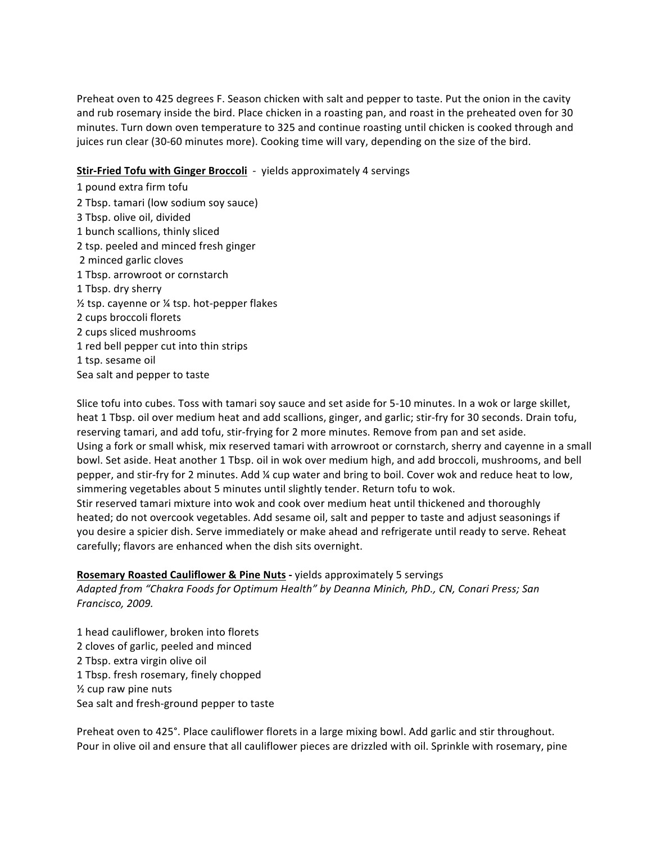Preheat oven to 425 degrees F. Season chicken with salt and pepper to taste. Put the onion in the cavity and rub rosemary inside the bird. Place chicken in a roasting pan, and roast in the preheated oven for 30 minutes. Turn down oven temperature to 325 and continue roasting until chicken is cooked through and juices run clear (30-60 minutes more). Cooking time will vary, depending on the size of the bird.

### **Stir-Fried Tofu with Ginger Broccoli** - yields approximately 4 servings

1 pound extra firm tofu 2 Tbsp. tamari (low sodium soy sauce) 3 Tbsp. olive oil, divided 1 bunch scallions, thinly sliced 2 tsp. peeled and minced fresh ginger 2 minced garlic cloves 1 Tbsp. arrowroot or cornstarch 1 Tbsp. dry sherry  $\frac{1}{2}$  tsp. cayenne or  $\frac{1}{4}$  tsp. hot-pepper flakes 2 cups broccoli florets 2 cups sliced mushrooms 1 red bell pepper cut into thin strips 1 tsp. sesame oil Sea salt and pepper to taste

Slice tofu into cubes. Toss with tamari soy sauce and set aside for 5-10 minutes. In a wok or large skillet, heat 1 Tbsp. oil over medium heat and add scallions, ginger, and garlic; stir-fry for 30 seconds. Drain tofu, reserving tamari, and add tofu, stir-frying for 2 more minutes. Remove from pan and set aside. Using a fork or small whisk, mix reserved tamari with arrowroot or cornstarch, sherry and cayenne in a small bowl. Set aside. Heat another 1 Tbsp. oil in wok over medium high, and add broccoli, mushrooms, and bell pepper, and stir-fry for 2 minutes. Add ¼ cup water and bring to boil. Cover wok and reduce heat to low, simmering vegetables about 5 minutes until slightly tender. Return tofu to wok. Stir reserved tamari mixture into wok and cook over medium heat until thickened and thoroughly heated; do not overcook vegetables. Add sesame oil, salt and pepper to taste and adjust seasonings if you desire a spicier dish. Serve immediately or make ahead and refrigerate until ready to serve. Reheat carefully; flavors are enhanced when the dish sits overnight.

### **Rosemary Roasted Cauliflower & Pine Nuts - yields approximately 5 servings**

Adapted from "Chakra Foods for Optimum Health" by Deanna Minich, PhD., CN, Conari Press; San *Francisco,!2009.!*

1 head cauliflower, broken into florets 2 cloves of garlic, peeled and minced 2 Tbsp. extra virgin olive oil 1 Tbsp. fresh rosemary, finely chopped  $\frac{1}{2}$  cup raw pine nuts Sea salt and fresh-ground pepper to taste

Preheat oven to 425°. Place cauliflower florets in a large mixing bowl. Add garlic and stir throughout. Pour in olive oil and ensure that all cauliflower pieces are drizzled with oil. Sprinkle with rosemary, pine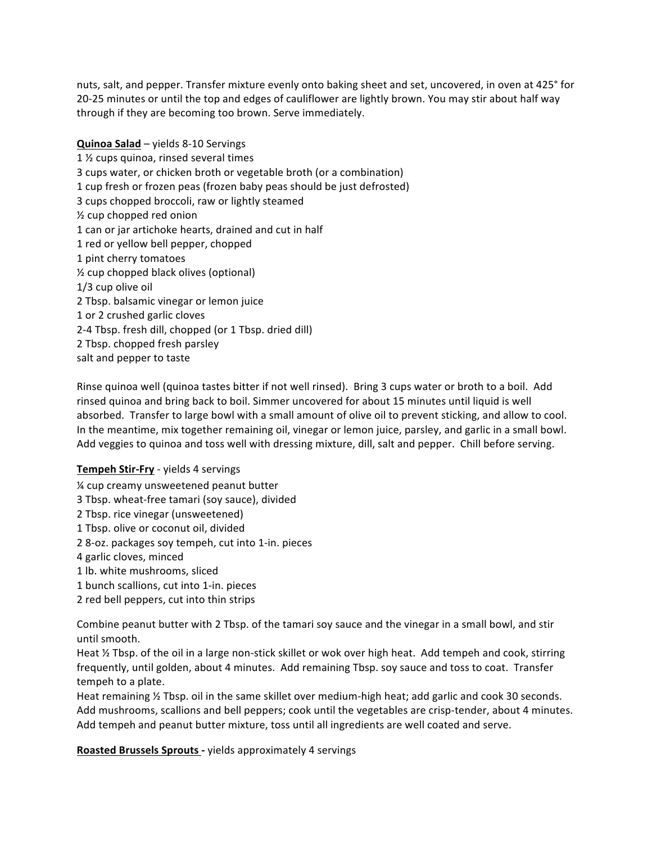nuts, salt, and pepper. Transfer mixture evenly onto baking sheet and set, uncovered, in oven at 425° for 20-25 minutes or until the top and edges of cauliflower are lightly brown. You may stir about half way through if they are becoming too brown. Serve immediately.

**Quinoa Salad** – yields 8-10 Servings 1 % cups quinoa, rinsed several times 3 cups water, or chicken broth or vegetable broth (or a combination) 1 cup fresh or frozen peas (frozen baby peas should be just defrosted) 3 cups chopped broccoli, raw or lightly steamed  $\frac{1}{2}$  cup chopped red onion 1 can or jar artichoke hearts, drained and cut in half 1 red or yellow bell pepper, chopped 1 pint cherry tomatoes  $\frac{1}{2}$  cup chopped black olives (optional)  $1/3$  cup olive oil 2 Tbsp. balsamic vinegar or lemon juice 1 or 2 crushed garlic cloves 2-4 Tbsp. fresh dill, chopped (or 1 Tbsp. dried dill) 2 Tbsp. chopped fresh parsley salt and pepper to taste

Rinse quinoa well (quinoa tastes bitter if not well rinsed). Bring 3 cups water or broth to a boil. Add rinsed quinoa and bring back to boil. Simmer uncovered for about 15 minutes until liquid is well absorbed. Transfer to large bowl with a small amount of olive oil to prevent sticking, and allow to cool. In the meantime, mix together remaining oil, vinegar or lemon juice, parsley, and garlic in a small bowl. Add veggies to quinoa and toss well with dressing mixture, dill, salt and pepper. Chill before serving.

#### **Tempeh Stir-Fry** - yields 4 servings

- % cup creamy unsweetened peanut butter
- 3 Tbsp. wheat-free tamari (soy sauce), divided
- 2 Tbsp. rice vinegar (unsweetened)
- 1 Tbsp. olive or coconut oil, divided
- 2 8-oz. packages soy tempeh, cut into 1-in. pieces
- 4 garlic cloves, minced
- 1 lb. white mushrooms, sliced
- 1 bunch scallions, cut into 1-in. pieces
- 2 red bell peppers, cut into thin strips

Combine peanut butter with 2 Tbsp. of the tamari soy sauce and the vinegar in a small bowl, and stir until smooth.

Heat  $\frac{1}{2}$  Tbsp. of the oil in a large non-stick skillet or wok over high heat. Add tempeh and cook, stirring frequently, until golden, about 4 minutes. Add remaining Tbsp. soy sauce and toss to coat. Transfer tempeh to a plate.

Heat remaining % Tbsp. oil in the same skillet over medium-high heat; add garlic and cook 30 seconds. Add mushrooms, scallions and bell peppers; cook until the vegetables are crisp-tender, about 4 minutes. Add tempeh and peanut butter mixture, toss until all ingredients are well coated and serve.

**Roasted Brussels Sprouts - yields approximately 4 servings**